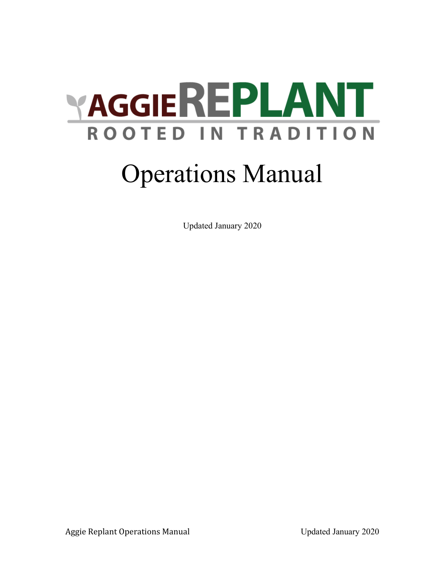

# Operations Manual

Updated January 2020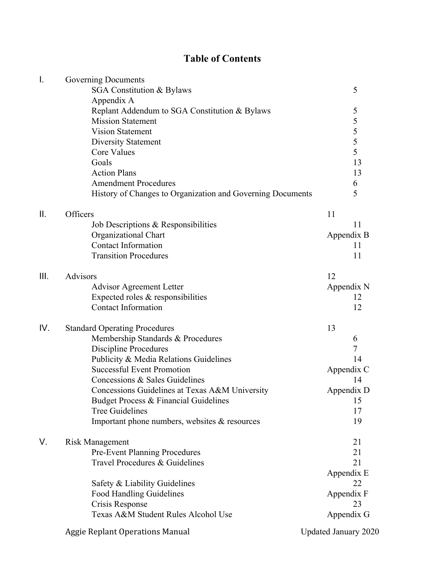# **Table of Contents**

| Ι.   | Governing Documents                                        |                             |
|------|------------------------------------------------------------|-----------------------------|
|      | SGA Constitution & Bylaws                                  | 5                           |
|      | Appendix A                                                 |                             |
|      | Replant Addendum to SGA Constitution & Bylaws              | 5                           |
|      | <b>Mission Statement</b>                                   | 5                           |
|      | <b>Vision Statement</b>                                    | 5                           |
|      | <b>Diversity Statement</b>                                 | $\overline{5}$              |
|      | <b>Core Values</b>                                         | 5                           |
|      | Goals                                                      | 13                          |
|      | <b>Action Plans</b>                                        | 13                          |
|      | <b>Amendment Procedures</b>                                | 6                           |
|      | History of Changes to Organization and Governing Documents | 5                           |
| ΙΙ.  | Officers                                                   | 11                          |
|      | Job Descriptions & Responsibilities                        | 11                          |
|      | Organizational Chart                                       | Appendix B                  |
|      | <b>Contact Information</b>                                 | 11                          |
|      | <b>Transition Procedures</b>                               | 11                          |
| III. | Advisors                                                   | 12                          |
|      | <b>Advisor Agreement Letter</b>                            | Appendix N                  |
|      | Expected roles $&$ responsibilities                        | 12                          |
|      | <b>Contact Information</b>                                 | 12                          |
| IV.  | <b>Standard Operating Procedures</b>                       | 13                          |
|      | Membership Standards & Procedures                          | 6                           |
|      | <b>Discipline Procedures</b>                               | 7                           |
|      | Publicity & Media Relations Guidelines                     | 14                          |
|      | <b>Successful Event Promotion</b>                          | Appendix C                  |
|      | Concessions & Sales Guidelines                             | 14                          |
|      | Concessions Guidelines at Texas A&M University             | Appendix D                  |
|      | Budget Process & Financial Guidelines                      | 15                          |
|      | <b>Tree Guidelines</b>                                     | 17                          |
|      | Important phone numbers, websites & resources              | 19                          |
| V.   | Risk Management                                            | 21                          |
|      | <b>Pre-Event Planning Procedures</b>                       | 21                          |
|      | Travel Procedures & Guidelines                             | 21                          |
|      |                                                            | Appendix E                  |
|      | Safety & Liability Guidelines                              | 22                          |
|      | <b>Food Handling Guidelines</b>                            | Appendix F                  |
|      | Crisis Response                                            | 23                          |
|      | Texas A&M Student Rules Alcohol Use                        | Appendix G                  |
|      | <b>Aggie Replant Operations Manual</b>                     | <b>Updated January 2020</b> |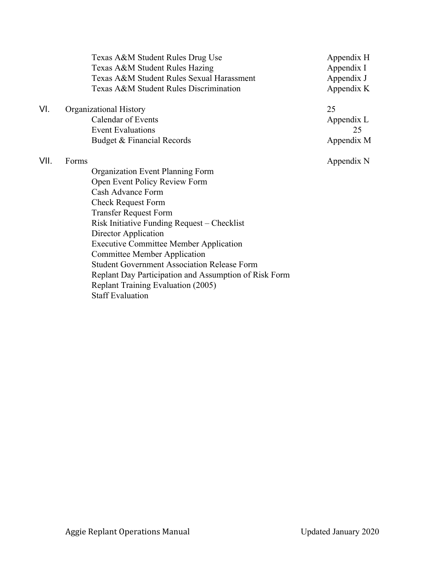|      | Texas A&M Student Rules Drug Use<br>Texas A&M Student Rules Hazing<br>Texas A&M Student Rules Sexual Harassment<br>Texas A&M Student Rules Discrimination | Appendix H<br>Appendix I<br>Appendix J<br>Appendix K |
|------|-----------------------------------------------------------------------------------------------------------------------------------------------------------|------------------------------------------------------|
| VI.  | Organizational History                                                                                                                                    | 25                                                   |
|      | Calendar of Events<br><b>Event Evaluations</b>                                                                                                            | Appendix L<br>25                                     |
|      | Budget & Financial Records                                                                                                                                | Appendix M                                           |
| VII. | Forms                                                                                                                                                     | Appendix N                                           |
|      | Organization Event Planning Form                                                                                                                          |                                                      |
|      | Open Event Policy Review Form                                                                                                                             |                                                      |
|      | Cash Advance Form                                                                                                                                         |                                                      |
|      | <b>Check Request Form</b>                                                                                                                                 |                                                      |
|      | <b>Transfer Request Form</b>                                                                                                                              |                                                      |
|      | Risk Initiative Funding Request - Checklist                                                                                                               |                                                      |
|      | Director Application                                                                                                                                      |                                                      |
|      | <b>Executive Committee Member Application</b>                                                                                                             |                                                      |
|      | <b>Committee Member Application</b>                                                                                                                       |                                                      |
|      | <b>Student Government Association Release Form</b>                                                                                                        |                                                      |
|      | Replant Day Participation and Assumption of Risk Form                                                                                                     |                                                      |
|      | Replant Training Evaluation (2005)                                                                                                                        |                                                      |
|      | <b>Staff Evaluation</b>                                                                                                                                   |                                                      |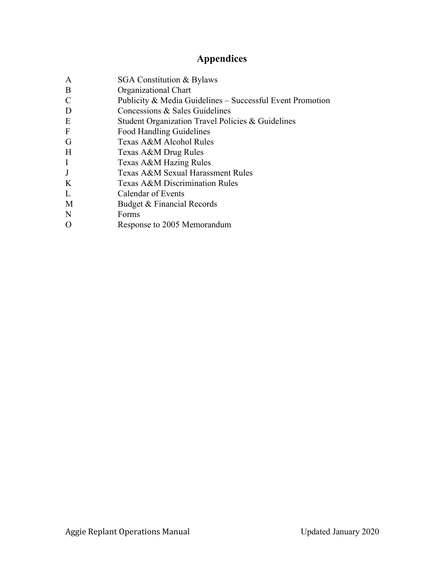# **Appendices**

- A SGA Constitution & Bylaws
- B Organizational Chart
- C Publicity & Media Guidelines Successful Event Promotion
- D Concessions & Sales Guidelines
- E Student Organization Travel Policies & Guidelines
- F Food Handling Guidelines
- G Texas A&M Alcohol Rules
- H Texas A&M Drug Rules
- I Texas A&M Hazing Rules
- J Texas A&M Sexual Harassment Rules
- K Texas A&M Discrimination Rules
- L Calendar of Events
- M Budget & Financial Records
- N Forms
- O Response to 2005 Memorandum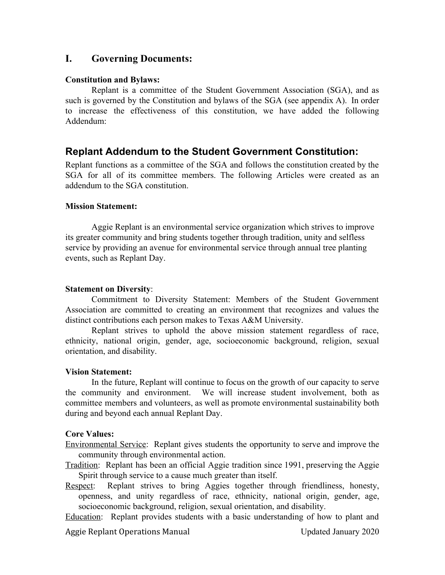## **I. Governing Documents:**

#### **Constitution and Bylaws:**

Replant is a committee of the Student Government Association (SGA), and as such is governed by the Constitution and bylaws of the SGA (see appendix A). In order to increase the effectiveness of this constitution, we have added the following Addendum:

## **Replant Addendum to the Student Government Constitution:**

Replant functions as a committee of the SGA and follows the constitution created by the SGA for all of its committee members. The following Articles were created as an addendum to the SGA constitution.

#### **Mission Statement:**

Aggie Replant is an environmental service organization which strives to improve its greater community and bring students together through tradition, unity and selfless service by providing an avenue for environmental service through annual tree planting events, such as Replant Day.

#### **Statement on Diversity**:

Commitment to Diversity Statement: Members of the Student Government Association are committed to creating an environment that recognizes and values the distinct contributions each person makes to Texas A&M University.

Replant strives to uphold the above mission statement regardless of race, ethnicity, national origin, gender, age, socioeconomic background, religion, sexual orientation, and disability.

#### **Vision Statement:**

In the future, Replant will continue to focus on the growth of our capacity to serve the community and environment. We will increase student involvement, both as committee members and volunteers, as well as promote environmental sustainability both during and beyond each annual Replant Day.

#### **Core Values:**

Environmental Service: Replant gives students the opportunity to serve and improve the community through environmental action.

Tradition: Replant has been an official Aggie tradition since 1991, preserving the Aggie Spirit through service to a cause much greater than itself.

Respect: Replant strives to bring Aggies together through friendliness, honesty, openness, and unity regardless of race, ethnicity, national origin, gender, age, socioeconomic background, religion, sexual orientation, and disability.

Education: Replant provides students with a basic understanding of how to plant and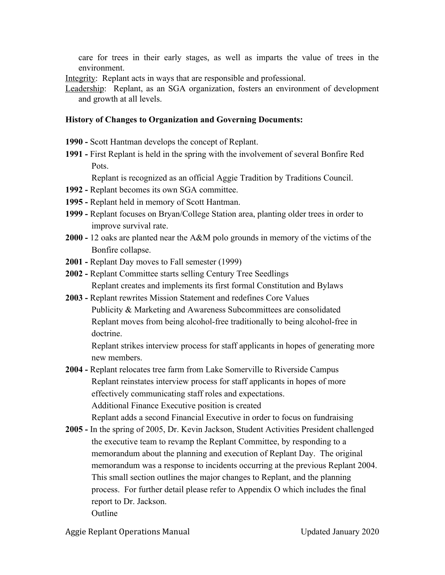care for trees in their early stages, as well as imparts the value of trees in the environment.

- Integrity: Replant acts in ways that are responsible and professional.
- Leadership: Replant, as an SGA organization, fosters an environment of development and growth at all levels.

#### **History of Changes to Organization and Governing Documents:**

- **1990** Scott Hantman develops the concept of Replant.
- **1991** First Replant is held in the spring with the involvement of several Bonfire Red Pots.

Replant is recognized as an official Aggie Tradition by Traditions Council.

- **1992** Replant becomes its own SGA committee.
- **1995** Replant held in memory of Scott Hantman.
- **1999** Replant focuses on Bryan/College Station area, planting older trees in order to improve survival rate.
- **2000** 12 oaks are planted near the A&M polo grounds in memory of the victims of the Bonfire collapse.
- **2001** Replant Day moves to Fall semester (1999)
- **2002** Replant Committee starts selling Century Tree Seedlings Replant creates and implements its first formal Constitution and Bylaws
- **2003** Replant rewrites Mission Statement and redefines Core Values Publicity & Marketing and Awareness Subcommittees are consolidated Replant moves from being alcohol-free traditionally to being alcohol-free in doctrine.

Replant strikes interview process for staff applicants in hopes of generating more new members.

- **2004** Replant relocates tree farm from Lake Somerville to Riverside Campus Replant reinstates interview process for staff applicants in hopes of more effectively communicating staff roles and expectations. Additional Finance Executive position is created Replant adds a second Financial Executive in order to focus on fundraising
- **2005** In the spring of 2005, Dr. Kevin Jackson, Student Activities President challenged the executive team to revamp the Replant Committee, by responding to a memorandum about the planning and execution of Replant Day. The original memorandum was a response to incidents occurring at the previous Replant 2004. This small section outlines the major changes to Replant, and the planning process. For further detail please refer to Appendix O which includes the final report to Dr. Jackson. **Outline**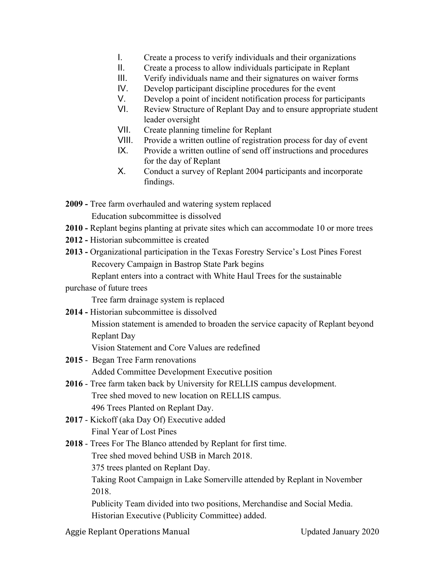- I. Create a process to verify individuals and their organizations
- II. Create a process to allow individuals participate in Replant
- III. Verify individuals name and their signatures on waiver forms
- IV. Develop participant discipline procedures for the event
- V. Develop a point of incident notification process for participants
- VI. Review Structure of Replant Day and to ensure appropriate student leader oversight
- VII. Create planning timeline for Replant
- VIII. Provide a written outline of registration process for day of event
- IX. Provide a written outline of send off instructions and procedures for the day of Replant
- X. Conduct a survey of Replant 2004 participants and incorporate findings.

**2009 -** Tree farm overhauled and watering system replaced Education subcommittee is dissolved

- **2010** Replant begins planting at private sites which can accommodate 10 or more trees
- **2012** Historian subcommittee is created
- **2013** Organizational participation in the Texas Forestry Service's Lost Pines Forest Recovery Campaign in Bastrop State Park begins

Replant enters into a contract with White Haul Trees for the sustainable

#### purchase of future trees

Tree farm drainage system is replaced

**2014 -** Historian subcommittee is dissolved

Mission statement is amended to broaden the service capacity of Replant beyond Replant Day

Vision Statement and Core Values are redefined

- **2015** Began Tree Farm renovations Added Committee Development Executive position
- **2016** Tree farm taken back by University for RELLIS campus development. Tree shed moved to new location on RELLIS campus. 496 Trees Planted on Replant Day.
- **2017** Kickoff (aka Day Of) Executive added Final Year of Lost Pines
- **2018** Trees For The Blanco attended by Replant for first time.

Tree shed moved behind USB in March 2018.

375 trees planted on Replant Day.

Taking Root Campaign in Lake Somerville attended by Replant in November 2018.

Publicity Team divided into two positions, Merchandise and Social Media. Historian Executive (Publicity Committee) added.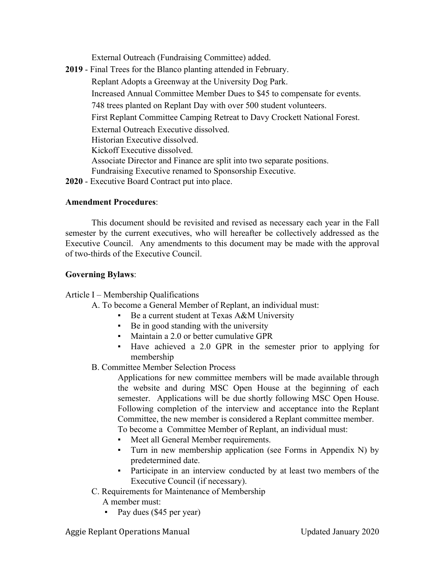External Outreach (Fundraising Committee) added.

**2019** - Final Trees for the Blanco planting attended in February. Replant Adopts a Greenway at the University Dog Park. Increased Annual Committee Member Dues to \$45 to compensate for events. 748 trees planted on Replant Day with over 500 student volunteers. First Replant Committee Camping Retreat to Davy Crockett National Forest. External Outreach Executive dissolved. Historian Executive dissolved. Kickoff Executive dissolved. Associate Director and Finance are split into two separate positions. Fundraising Executive renamed to Sponsorship Executive. **2020** - Executive Board Contract put into place.

#### **Amendment Procedures**:

This document should be revisited and revised as necessary each year in the Fall semester by the current executives, who will hereafter be collectively addressed as the Executive Council. Any amendments to this document may be made with the approval of two-thirds of the Executive Council.

#### **Governing Bylaws**:

Article I – Membership Qualifications

- A. To become a General Member of Replant, an individual must:
	- Be a current student at Texas A&M University
	- Be in good standing with the university
	- Maintain a 2.0 or better cumulative GPR
	- Have achieved a 2.0 GPR in the semester prior to applying for membership
- B. Committee Member Selection Process

Applications for new committee members will be made available through the website and during MSC Open House at the beginning of each semester. Applications will be due shortly following MSC Open House. Following completion of the interview and acceptance into the Replant Committee, the new member is considered a Replant committee member. To become a Committee Member of Replant, an individual must:

- Meet all General Member requirements.
- Turn in new membership application (see Forms in Appendix N) by predetermined date.
- Participate in an interview conducted by at least two members of the Executive Council (if necessary).
- C. Requirements for Maintenance of Membership
	- A member must:
	- Pay dues (\$45 per year)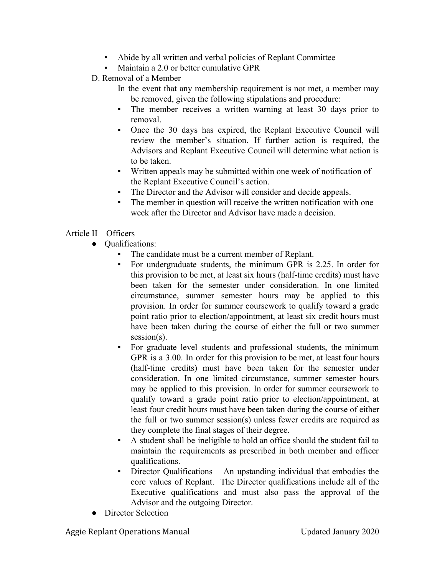- Abide by all written and verbal policies of Replant Committee
- Maintain a 2.0 or better cumulative GPR
- D. Removal of a Member
	- In the event that any membership requirement is not met, a member may be removed, given the following stipulations and procedure:
	- The member receives a written warning at least 30 days prior to removal.
	- Once the 30 days has expired, the Replant Executive Council will review the member's situation. If further action is required, the Advisors and Replant Executive Council will determine what action is to be taken.
	- Written appeals may be submitted within one week of notification of the Replant Executive Council's action.
	- The Director and the Advisor will consider and decide appeals.
	- The member in question will receive the written notification with one week after the Director and Advisor have made a decision.

## Article II – Officers

- Qualifications:
	- The candidate must be a current member of Replant.
	- For undergraduate students, the minimum GPR is 2.25. In order for this provision to be met, at least six hours (half-time credits) must have been taken for the semester under consideration. In one limited circumstance, summer semester hours may be applied to this provision. In order for summer coursework to qualify toward a grade point ratio prior to election/appointment, at least six credit hours must have been taken during the course of either the full or two summer session(s).
	- For graduate level students and professional students, the minimum GPR is a 3.00. In order for this provision to be met, at least four hours (half-time credits) must have been taken for the semester under consideration. In one limited circumstance, summer semester hours may be applied to this provision. In order for summer coursework to qualify toward a grade point ratio prior to election/appointment, at least four credit hours must have been taken during the course of either the full or two summer session(s) unless fewer credits are required as they complete the final stages of their degree.
	- A student shall be ineligible to hold an office should the student fail to maintain the requirements as prescribed in both member and officer qualifications.
	- Director Qualifications An upstanding individual that embodies the core values of Replant. The Director qualifications include all of the Executive qualifications and must also pass the approval of the Advisor and the outgoing Director.
- Director Selection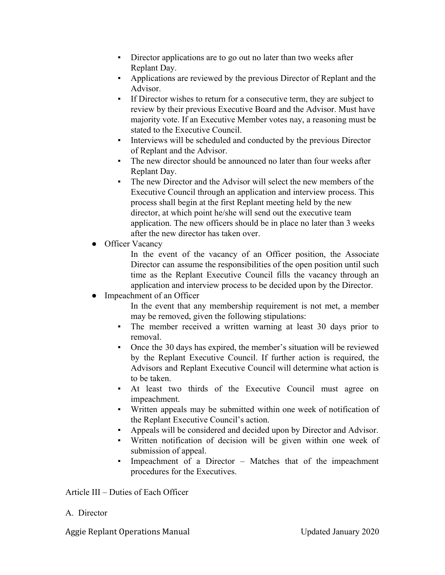- Director applications are to go out no later than two weeks after Replant Day.
- Applications are reviewed by the previous Director of Replant and the Advisor.
- If Director wishes to return for a consecutive term, they are subject to review by their previous Executive Board and the Advisor. Must have majority vote. If an Executive Member votes nay, a reasoning must be stated to the Executive Council.
- Interviews will be scheduled and conducted by the previous Director of Replant and the Advisor.
- The new director should be announced no later than four weeks after Replant Day.
- The new Director and the Advisor will select the new members of the Executive Council through an application and interview process. This process shall begin at the first Replant meeting held by the new director, at which point he/she will send out the executive team application. The new officers should be in place no later than 3 weeks after the new director has taken over.
- Officer Vacancy

In the event of the vacancy of an Officer position, the Associate Director can assume the responsibilities of the open position until such time as the Replant Executive Council fills the vacancy through an application and interview process to be decided upon by the Director.

• Impeachment of an Officer

In the event that any membership requirement is not met, a member may be removed, given the following stipulations:

- The member received a written warning at least 30 days prior to removal.
- Once the 30 days has expired, the member's situation will be reviewed by the Replant Executive Council. If further action is required, the Advisors and Replant Executive Council will determine what action is to be taken.
- At least two thirds of the Executive Council must agree on impeachment.
- Written appeals may be submitted within one week of notification of the Replant Executive Council's action.
- Appeals will be considered and decided upon by Director and Advisor.
- Written notification of decision will be given within one week of submission of appeal.
- Impeachment of a Director  $-$  Matches that of the impeachment procedures for the Executives.

Article III – Duties of Each Officer

#### A. Director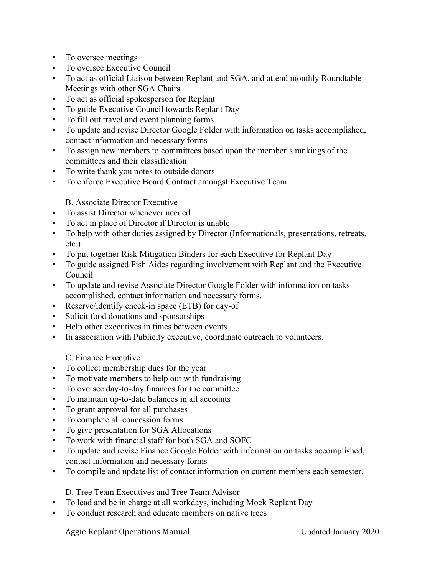- To oversee meetings
- To oversee Executive Council
- To act as official Liaison between Replant and SGA, and attend monthly Roundtable Meetings with other SGA Chairs
- To act as official spokesperson for Replant
- To guide Executive Council towards Replant Day
- To fill out travel and event planning forms
- To update and revise Director Google Folder with information on tasks accomplished, contact information and necessary forms
- To assign new members to committees based upon the member's rankings of the committees and their classification
- To write thank you notes to outside donors
- To enforce Executive Board Contract amongst Executive Team.

B. Associate Director Executive

- To assist Director whenever needed
- To act in place of Director if Director is unable
- To help with other duties assigned by Director (Informationals, presentations, retreats, etc.)
- To put together Risk Mitigation Binders for each Executive for Replant Day
- To guide assigned Fish Aides regarding involvement with Replant and the Executive Council
- To update and revise Associate Director Google Folder with information on tasks accomplished, contact information and necessary forms.
- Reserve/identify check-in space (ETB) for day-of
- Solicit food donations and sponsorships
- Help other executives in times between events
- In association with Publicity executive, coordinate outreach to volunteers.

C. Finance Executive

- To collect membership dues for the year
- To motivate members to help out with fundraising
- To oversee day-to-day finances for the committee
- To maintain up-to-date balances in all accounts
- To grant approval for all purchases
- To complete all concession forms
- To give presentation for SGA Allocations
- To work with financial staff for both SGA and SOFC
- To update and revise Finance Google Folder with information on tasks accomplished, contact information and necessary forms
- To compile and update list of contact information on current members each semester.

D. Tree Team Executives and Tree Team Advisor

- To lead and be in charge at all workdays, including Mock Replant Day
- To conduct research and educate members on native trees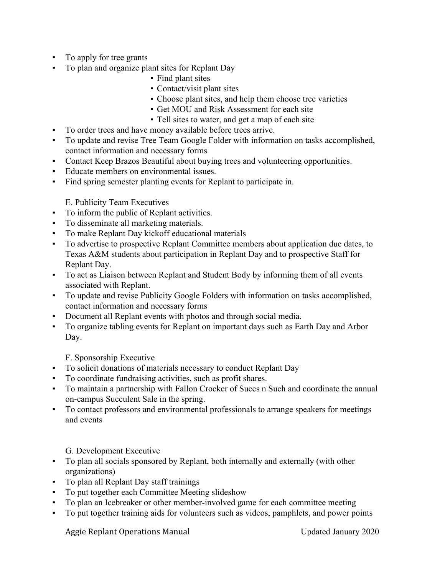- To apply for tree grants
- To plan and organize plant sites for Replant Day
	- Find plant sites
	- Contact/visit plant sites
	- Choose plant sites, and help them choose tree varieties
	- Get MOU and Risk Assessment for each site
	- Tell sites to water, and get a map of each site
- To order trees and have money available before trees arrive.
- To update and revise Tree Team Google Folder with information on tasks accomplished, contact information and necessary forms
- Contact Keep Brazos Beautiful about buying trees and volunteering opportunities.
- Educate members on environmental issues.
- Find spring semester planting events for Replant to participate in.

#### E. Publicity Team Executives

- To inform the public of Replant activities.
- To disseminate all marketing materials.
- To make Replant Day kickoff educational materials
- To advertise to prospective Replant Committee members about application due dates, to Texas A&M students about participation in Replant Day and to prospective Staff for Replant Day.
- To act as Liaison between Replant and Student Body by informing them of all events associated with Replant.
- To update and revise Publicity Google Folders with information on tasks accomplished, contact information and necessary forms
- Document all Replant events with photos and through social media.
- To organize tabling events for Replant on important days such as Earth Day and Arbor Day.

F. Sponsorship Executive

- To solicit donations of materials necessary to conduct Replant Day
- To coordinate fundraising activities, such as profit shares.
- To maintain a partnership with Fallon Crocker of Succs n Such and coordinate the annual on-campus Succulent Sale in the spring.
- To contact professors and environmental professionals to arrange speakers for meetings and events

G. Development Executive

- To plan all socials sponsored by Replant, both internally and externally (with other organizations)
- To plan all Replant Day staff trainings
- To put together each Committee Meeting slideshow
- To plan an Icebreaker or other member-involved game for each committee meeting
- To put together training aids for volunteers such as videos, pamphlets, and power points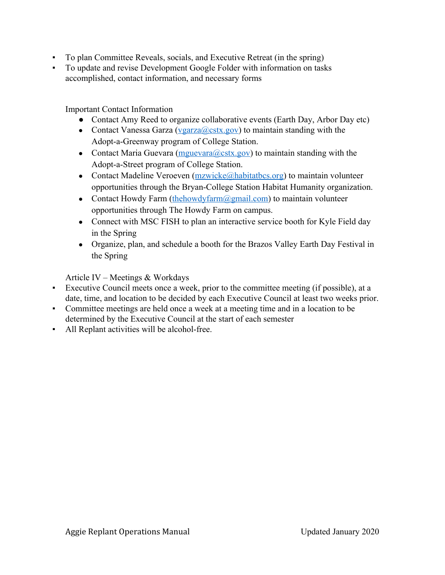- To plan Committee Reveals, socials, and Executive Retreat (in the spring)
- To update and revise Development Google Folder with information on tasks accomplished, contact information, and necessary forms

Important Contact Information

- Contact Amy Reed to organize collaborative events (Earth Day, Arbor Day etc)
- Contact Vanessa Garza ( $\frac{V \text{ garza}(Q) \text{ cstx.gov}}{V \text{ garza}}$ ) to maintain standing with the Adopt-a-Greenway program of College Station.
- Contact Maria Guevara ( $m$ guevara $(a)$ cstx.gov) to maintain standing with the Adopt-a-Street program of College Station.
- Contact Madeline Veroeven  $(mzwicke@habitatbes.org)$  to maintain volunteer opportunities through the Bryan-College Station Habitat Humanity organization.
- Contact Howdy Farm ([thehowdyfarm@gmail.com](mailto:thehowdyfarm@gmail.com)) to maintain volunteer opportunities through The Howdy Farm on campus.
- Connect with MSC FISH to plan an interactive service booth for Kyle Field day in the Spring
- Organize, plan, and schedule a booth for the Brazos Valley Earth Day Festival in the Spring

Article IV – Meetings & Workdays

- Executive Council meets once a week, prior to the committee meeting (if possible), at a date, time, and location to be decided by each Executive Council at least two weeks prior.
- Committee meetings are held once a week at a meeting time and in a location to be determined by the Executive Council at the start of each semester
- All Replant activities will be alcohol-free.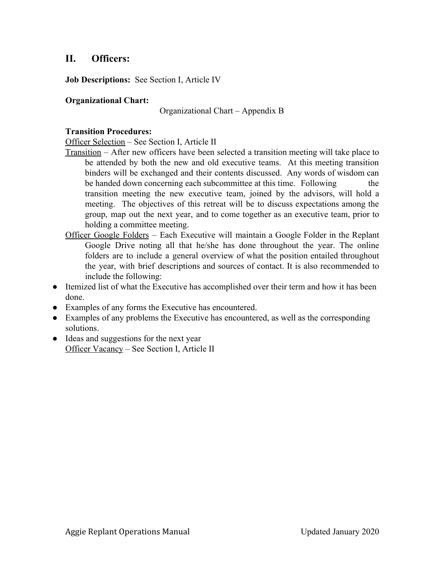# **II. Officers:**

**Job Descriptions:** See Section I, Article IV

#### **Organizational Chart:**

Organizational Chart – Appendix B

#### **Transition Procedures:**

Officer Selection – See Section I, Article II

- Transition After new officers have been selected a transition meeting will take place to be attended by both the new and old executive teams. At this meeting transition binders will be exchanged and their contents discussed. Any words of wisdom can be handed down concerning each subcommittee at this time. Following the transition meeting the new executive team, joined by the advisors, will hold a meeting. The objectives of this retreat will be to discuss expectations among the group, map out the next year, and to come together as an executive team, prior to holding a committee meeting.
- Officer Google Folders Each Executive will maintain a Google Folder in the Replant Google Drive noting all that he/she has done throughout the year. The online folders are to include a general overview of what the position entailed throughout the year, with brief descriptions and sources of contact. It is also recommended to include the following:
- Itemized list of what the Executive has accomplished over their term and how it has been done.
- Examples of any forms the Executive has encountered.
- Examples of any problems the Executive has encountered, as well as the corresponding solutions.
- Ideas and suggestions for the next year Officer Vacancy – See Section I, Article II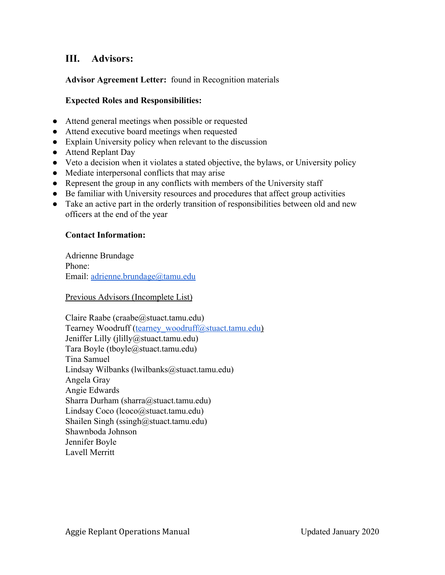# **III. Advisors:**

**Advisor Agreement Letter:** found in Recognition materials

#### **Expected Roles and Responsibilities:**

- Attend general meetings when possible or requested
- Attend executive board meetings when requested
- Explain University policy when relevant to the discussion
- Attend Replant Day
- Veto a decision when it violates a stated objective, the bylaws, or University policy
- Mediate interpersonal conflicts that may arise
- Represent the group in any conflicts with members of the University staff
- Be familiar with University resources and procedures that affect group activities
- Take an active part in the orderly transition of responsibilities between old and new officers at the end of the year

#### **Contact Information:**

Adrienne Brundage Phone: Email: [adrienne.brundage@tamu.edu](mailto:adrienne.brundage@tamu.edu)

Previous Advisors (Incomplete List)

Claire Raabe (craabe@stuact.tamu.edu) Tearney Woodruff ([tearney\\_woodruff@stuact.tamu.edu\)](mailto:tearney_woodruff@stuact.tamu.edu) Jeniffer Lilly (jlilly@stuact.tamu.edu) Tara Boyle (tboyle@stuact.tamu.edu) Tina Samuel Lindsay Wilbanks (lwilbanks@stuact.tamu.edu) Angela Gray Angie Edwards Sharra Durham (sharra@stuact.tamu.edu) Lindsay Coco (lcoco@stuact.tamu.edu) Shailen Singh (ssingh@stuact.tamu.edu) Shawnboda Johnson Jennifer Boyle Lavell Merritt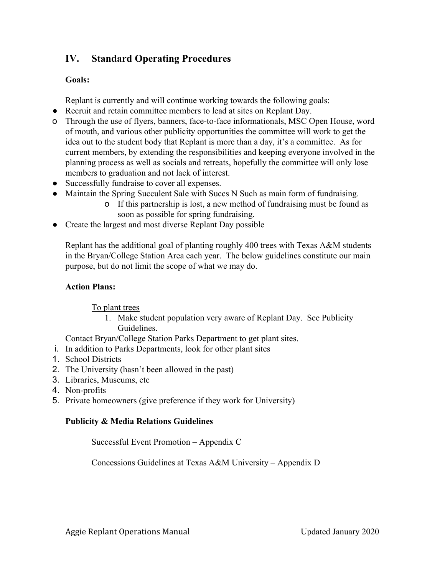# **IV. Standard Operating Procedures**

## **Goals:**

Replant is currently and will continue working towards the following goals:

- Recruit and retain committee members to lead at sites on Replant Day.
- o Through the use of flyers, banners, face-to-face informationals, MSC Open House, word of mouth, and various other publicity opportunities the committee will work to get the idea out to the student body that Replant is more than a day, it's a committee. As for current members, by extending the responsibilities and keeping everyone involved in the planning process as well as socials and retreats, hopefully the committee will only lose members to graduation and not lack of interest.
- Successfully fundraise to cover all expenses.
- Maintain the Spring Succulent Sale with Succs N Such as main form of fundraising.
	- o If this partnership is lost, a new method of fundraising must be found as soon as possible for spring fundraising.
- Create the largest and most diverse Replant Day possible

Replant has the additional goal of planting roughly 400 trees with Texas A&M students in the Bryan/College Station Area each year. The below guidelines constitute our main purpose, but do not limit the scope of what we may do.

## **Action Plans:**

To plant trees

1. Make student population very aware of Replant Day. See Publicity Guidelines.

Contact Bryan/College Station Parks Department to get plant sites.

- i. In addition to Parks Departments, look for other plant sites
- 1. School Districts
- 2. The University (hasn't been allowed in the past)
- 3. Libraries, Museums, etc
- 4. Non-profits
- 5. Private homeowners (give preference if they work for University)

## **Publicity & Media Relations Guidelines**

Successful Event Promotion – Appendix C

Concessions Guidelines at Texas A&M University – Appendix D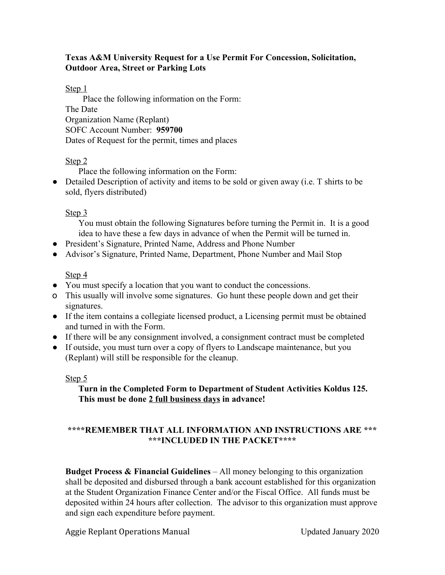#### **Texas A&M University Request for a Use Permit For Concession, Solicitation, Outdoor Area, Street or Parking Lots**

Step 1

Place the following information on the Form: The Date Organization Name (Replant) SOFC Account Number: **959700** Dates of Request for the permit, times and places

#### Step 2

Place the following information on the Form:

• Detailed Description of activity and items to be sold or given away (i.e. T shirts to be sold, flyers distributed)

#### Step 3

You must obtain the following Signatures before turning the Permit in. It is a good idea to have these a few days in advance of when the Permit will be turned in.

- President's Signature, Printed Name, Address and Phone Number
- Advisor's Signature, Printed Name, Department, Phone Number and Mail Stop

#### Step 4

- You must specify a location that you want to conduct the concessions.
- o This usually will involve some signatures. Go hunt these people down and get their signatures.
- If the item contains a collegiate licensed product, a Licensing permit must be obtained and turned in with the Form.
- If there will be any consignment involved, a consignment contract must be completed
- If outside, you must turn over a copy of flyers to Landscape maintenance, but you (Replant) will still be responsible for the cleanup.

#### Step 5

## **Turn in the Completed Form to Department of Student Activities Koldus 125. This must be done 2 full business days in advance!**

## **\*\*\*\*REMEMBER THAT ALL INFORMATION AND INSTRUCTIONS ARE \*\*\* \*\*\*INCLUDED IN THE PACKET\*\*\*\***

**Budget Process & Financial Guidelines** – All money belonging to this organization shall be deposited and disbursed through a bank account established for this organization at the Student Organization Finance Center and/or the Fiscal Office. All funds must be deposited within 24 hours after collection. The advisor to this organization must approve and sign each expenditure before payment.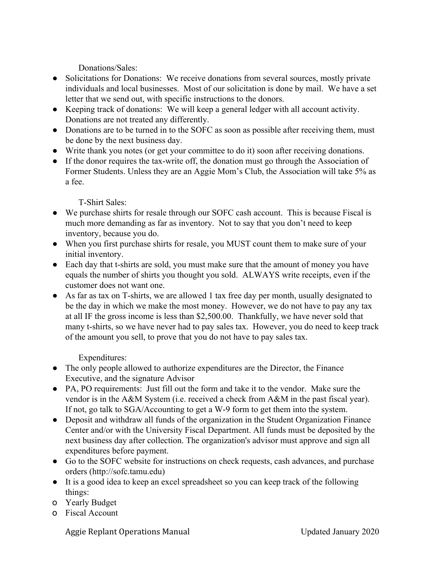Donations/Sales:

- Solicitations for Donations: We receive donations from several sources, mostly private individuals and local businesses. Most of our solicitation is done by mail. We have a set letter that we send out, with specific instructions to the donors.
- Keeping track of donations: We will keep a general ledger with all account activity. Donations are not treated any differently.
- Donations are to be turned in to the SOFC as soon as possible after receiving them, must be done by the next business day.
- Write thank you notes (or get your committee to do it) soon after receiving donations.
- If the donor requires the tax-write off, the donation must go through the Association of Former Students. Unless they are an Aggie Mom's Club, the Association will take 5% as a fee.

T-Shirt Sales:

- We purchase shirts for resale through our SOFC cash account. This is because Fiscal is much more demanding as far as inventory. Not to say that you don't need to keep inventory, because you do.
- When you first purchase shirts for resale, you MUST count them to make sure of your initial inventory.
- Each day that t-shirts are sold, you must make sure that the amount of money you have equals the number of shirts you thought you sold. ALWAYS write receipts, even if the customer does not want one.
- As far as tax on T-shirts, we are allowed 1 tax free day per month, usually designated to be the day in which we make the most money. However, we do not have to pay any tax at all IF the gross income is less than \$2,500.00. Thankfully, we have never sold that many t-shirts, so we have never had to pay sales tax. However, you do need to keep track of the amount you sell, to prove that you do not have to pay sales tax.

Expenditures:

- The only people allowed to authorize expenditures are the Director, the Finance Executive, and the signature Advisor
- PA, PO requirements: Just fill out the form and take it to the vendor. Make sure the vendor is in the A&M System (i.e. received a check from A&M in the past fiscal year). If not, go talk to SGA/Accounting to get a W-9 form to get them into the system.
- Deposit and withdraw all funds of the organization in the Student Organization Finance Center and/or with the University Fiscal Department. All funds must be deposited by the next business day after collection. The organization's advisor must approve and sign all expenditures before payment.
- Go to the SOFC website for instructions on check requests, cash advances, and purchase orders (http://sofc.tamu.edu)
- It is a good idea to keep an excel spreadsheet so you can keep track of the following things:
- o Yearly Budget
- o Fiscal Account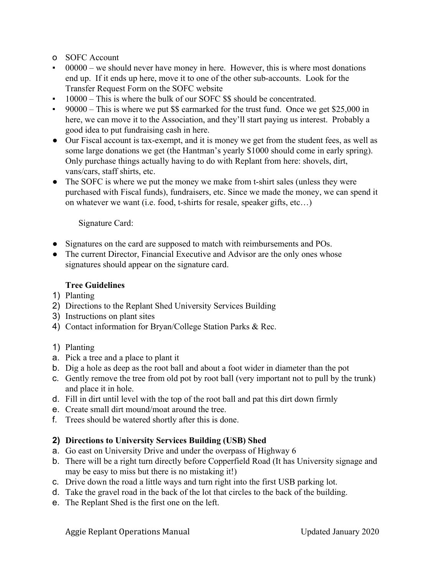- o SOFC Account
- $00000 -$  we should never have money in here. However, this is where most donations end up. If it ends up here, move it to one of the other sub-accounts. Look for the Transfer Request Form on the SOFC website
- 10000 This is where the bulk of our SOFC \$\$ should be concentrated.
- $90000 -$ This is where we put \$\$ earmarked for the trust fund. Once we get \$25,000 in here, we can move it to the Association, and they'll start paying us interest. Probably a good idea to put fundraising cash in here.
- Our Fiscal account is tax-exempt, and it is money we get from the student fees, as well as some large donations we get (the Hantman's yearly \$1000 should come in early spring). Only purchase things actually having to do with Replant from here: shovels, dirt, vans/cars, staff shirts, etc.
- The SOFC is where we put the money we make from t-shirt sales (unless they were purchased with Fiscal funds), fundraisers, etc. Since we made the money, we can spend it on whatever we want (i.e. food, t-shirts for resale, speaker gifts, etc…)

#### Signature Card:

- Signatures on the card are supposed to match with reimbursements and POs.
- The current Director, Financial Executive and Advisor are the only ones whose signatures should appear on the signature card.

#### **Tree Guidelines**

- 1) Planting
- 2) Directions to the Replant Shed University Services Building
- 3) Instructions on plant sites
- 4) Contact information for Bryan/College Station Parks & Rec.
- 1) Planting
- a. Pick a tree and a place to plant it
- b. Dig a hole as deep as the root ball and about a foot wider in diameter than the pot
- c. Gently remove the tree from old pot by root ball (very important not to pull by the trunk) and place it in hole.
- d. Fill in dirt until level with the top of the root ball and pat this dirt down firmly
- e. Create small dirt mound/moat around the tree.
- f. Trees should be watered shortly after this is done.

## **2) Directions to University Services Building (USB) Shed**

- a. Go east on University Drive and under the overpass of Highway 6
- b. There will be a right turn directly before Copperfield Road (It has University signage and may be easy to miss but there is no mistaking it!)
- c. Drive down the road a little ways and turn right into the first USB parking lot.
- d. Take the gravel road in the back of the lot that circles to the back of the building.
- e. The Replant Shed is the first one on the left.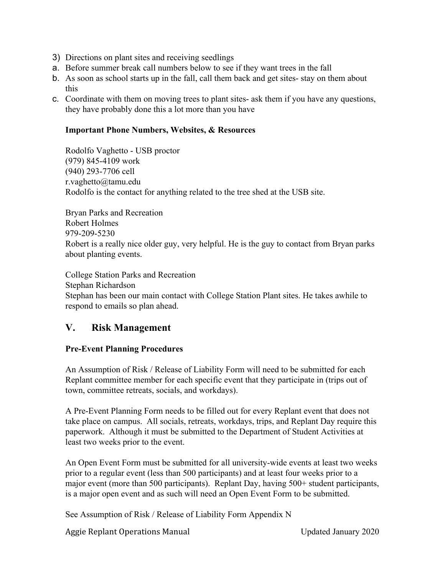- 3) Directions on plant sites and receiving seedlings
- a. Before summer break call numbers below to see if they want trees in the fall
- b. As soon as school starts up in the fall, call them back and get sites- stay on them about this
- c. Coordinate with them on moving trees to plant sites- ask them if you have any questions, they have probably done this a lot more than you have

#### **Important Phone Numbers, Websites, & Resources**

Rodolfo Vaghetto - USB proctor (979) 845-4109 work (940) 293-7706 cell r.vaghetto@tamu.edu Rodolfo is the contact for anything related to the tree shed at the USB site.

Bryan Parks and Recreation Robert Holmes 979-209-5230 Robert is a really nice older guy, very helpful. He is the guy to contact from Bryan parks about planting events.

College Station Parks and Recreation Stephan Richardson Stephan has been our main contact with College Station Plant sites. He takes awhile to respond to emails so plan ahead.

## **V. Risk Management**

#### **Pre-Event Planning Procedures**

An Assumption of Risk / Release of Liability Form will need to be submitted for each Replant committee member for each specific event that they participate in (trips out of town, committee retreats, socials, and workdays).

A Pre-Event Planning Form needs to be filled out for every Replant event that does not take place on campus. All socials, retreats, workdays, trips, and Replant Day require this paperwork. Although it must be submitted to the Department of Student Activities at least two weeks prior to the event.

An Open Event Form must be submitted for all university-wide events at least two weeks prior to a regular event (less than 500 participants) and at least four weeks prior to a major event (more than 500 participants). Replant Day, having 500+ student participants, is a major open event and as such will need an Open Event Form to be submitted.

See Assumption of Risk / Release of Liability Form Appendix N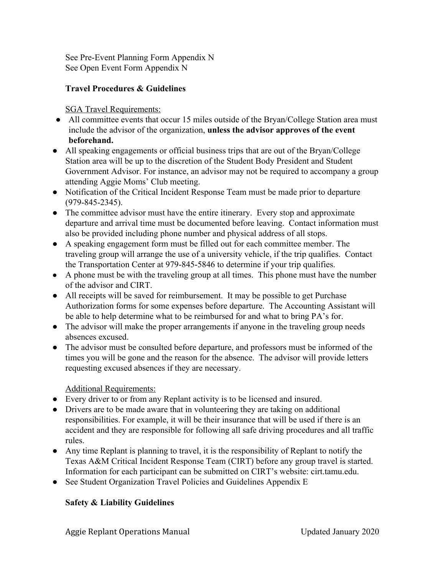See Pre-Event Planning Form Appendix N See Open Event Form Appendix N

## **Travel Procedures & Guidelines**

SGA Travel Requirements:

- **●** All committee events that occur 15 miles outside of the Bryan/College Station area must include the advisor of the organization, **unless the advisor approves of the event beforehand.**
- All speaking engagements or official business trips that are out of the Bryan/College Station area will be up to the discretion of the Student Body President and Student Government Advisor. For instance, an advisor may not be required to accompany a group attending Aggie Moms' Club meeting.
- Notification of the Critical Incident Response Team must be made prior to departure (979-845-2345).
- The committee advisor must have the entire itinerary. Every stop and approximate departure and arrival time must be documented before leaving. Contact information must also be provided including phone number and physical address of all stops.
- A speaking engagement form must be filled out for each committee member. The traveling group will arrange the use of a university vehicle, if the trip qualifies. Contact the Transportation Center at 979-845-5846 to determine if your trip qualifies.
- A phone must be with the traveling group at all times. This phone must have the number of the advisor and CIRT.
- All receipts will be saved for reimbursement. It may be possible to get Purchase Authorization forms for some expenses before departure. The Accounting Assistant will be able to help determine what to be reimbursed for and what to bring PA's for.
- The advisor will make the proper arrangements if anyone in the traveling group needs absences excused.
- The advisor must be consulted before departure, and professors must be informed of the times you will be gone and the reason for the absence. The advisor will provide letters requesting excused absences if they are necessary.

## Additional Requirements:

- Every driver to or from any Replant activity is to be licensed and insured.
- Drivers are to be made aware that in volunteering they are taking on additional responsibilities. For example, it will be their insurance that will be used if there is an accident and they are responsible for following all safe driving procedures and all traffic rules.
- Any time Replant is planning to travel, it is the responsibility of Replant to notify the Texas A&M Critical Incident Response Team (CIRT) before any group travel is started. Information for each participant can be submitted on CIRT's website: cirt.tamu.edu.
- See Student Organization Travel Policies and Guidelines Appendix E

## **Safety & Liability Guidelines**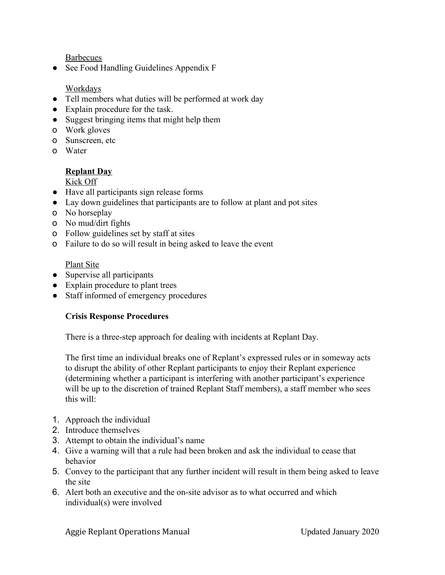Barbecues

• See Food Handling Guidelines Appendix F

#### Workdays

- Tell members what duties will be performed at work day
- Explain procedure for the task.
- Suggest bringing items that might help them
- o Work gloves
- o Sunscreen, etc
- o Water

#### **Replant Day**

Kick Off

- Have all participants sign release forms
- Lay down guidelines that participants are to follow at plant and pot sites
- o No horseplay
- o No mud/dirt fights
- o Follow guidelines set by staff at sites
- o Failure to do so will result in being asked to leave the event

Plant Site

- Supervise all participants
- Explain procedure to plant trees
- Staff informed of emergency procedures

#### **Crisis Response Procedures**

There is a three-step approach for dealing with incidents at Replant Day.

The first time an individual breaks one of Replant's expressed rules or in someway acts to disrupt the ability of other Replant participants to enjoy their Replant experience (determining whether a participant is interfering with another participant's experience will be up to the discretion of trained Replant Staff members), a staff member who sees this will:

- 1. Approach the individual
- 2. Introduce themselves
- 3. Attempt to obtain the individual's name
- 4. Give a warning will that a rule had been broken and ask the individual to cease that behavior
- 5. Convey to the participant that any further incident will result in them being asked to leave the site
- 6. Alert both an executive and the on-site advisor as to what occurred and which individual(s) were involved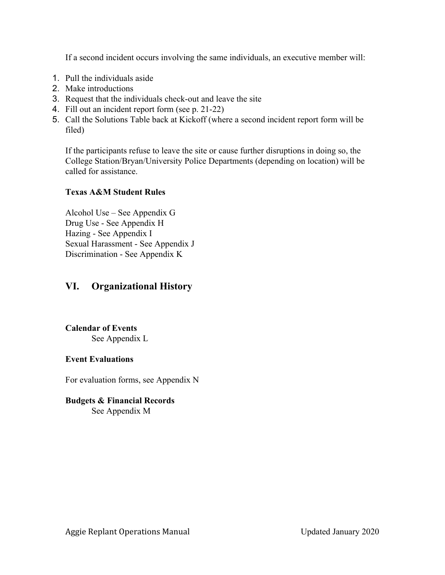If a second incident occurs involving the same individuals, an executive member will:

- 1. Pull the individuals aside
- 2. Make introductions
- 3. Request that the individuals check-out and leave the site
- 4. Fill out an incident report form (see p. 21-22)
- 5. Call the Solutions Table back at Kickoff (where a second incident report form will be filed)

If the participants refuse to leave the site or cause further disruptions in doing so, the College Station/Bryan/University Police Departments (depending on location) will be called for assistance.

## **Texas A&M Student Rules**

Alcohol Use – See Appendix G Drug Use - See Appendix H Hazing - See Appendix I Sexual Harassment - See Appendix J Discrimination - See Appendix K

# **VI. Organizational History**

**Calendar of Events** See Appendix L

## **Event Evaluations**

For evaluation forms, see Appendix N

#### **Budgets & Financial Records** See Appendix M